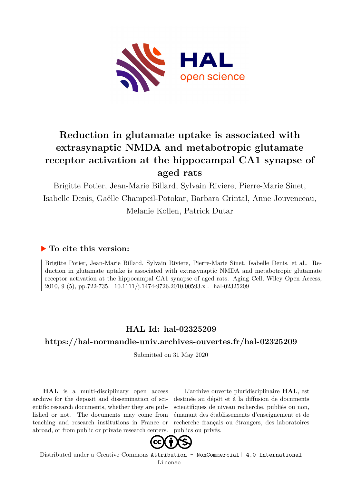

# **Reduction in glutamate uptake is associated with extrasynaptic NMDA and metabotropic glutamate receptor activation at the hippocampal CA1 synapse of aged rats**

Brigitte Potier, Jean-Marie Billard, Sylvain Riviere, Pierre-Marie Sinet, Isabelle Denis, Gaëlle Champeil-Potokar, Barbara Grintal, Anne Jouvenceau, Melanie Kollen, Patrick Dutar

# **To cite this version:**

Brigitte Potier, Jean-Marie Billard, Sylvain Riviere, Pierre-Marie Sinet, Isabelle Denis, et al.. Reduction in glutamate uptake is associated with extrasynaptic NMDA and metabotropic glutamate receptor activation at the hippocampal CA1 synapse of aged rats. Aging Cell, Wiley Open Access, 2010, 9 (5), pp.722-735.  $10.1111/j.1474-9726.2010.00593.x$ . hal-02325209

# **HAL Id: hal-02325209**

# **<https://hal-normandie-univ.archives-ouvertes.fr/hal-02325209>**

Submitted on 31 May 2020

**HAL** is a multi-disciplinary open access archive for the deposit and dissemination of scientific research documents, whether they are published or not. The documents may come from teaching and research institutions in France or abroad, or from public or private research centers.

L'archive ouverte pluridisciplinaire **HAL**, est destinée au dépôt et à la diffusion de documents scientifiques de niveau recherche, publiés ou non, émanant des établissements d'enseignement et de recherche français ou étrangers, des laboratoires publics ou privés.



Distributed under a Creative Commons [Attribution - NonCommercial| 4.0 International](http://creativecommons.org/licenses/by-nc/4.0/) [License](http://creativecommons.org/licenses/by-nc/4.0/)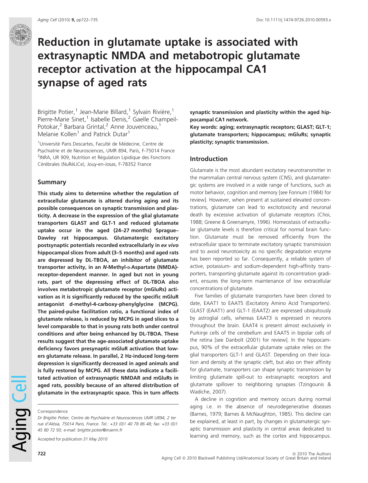# Reduction in glutamate uptake is associated with extrasynaptic NMDA and metabotropic glutamate receptor activation at the hippocampal CA1 synapse of aged rats

Brigitte Potier,<sup>1</sup> Jean-Marie Billard,<sup>1</sup> Sylvain Rivière,<sup>1</sup> Pierre-Marie Sinet,<sup>1</sup> Isabelle Denis,<sup>2</sup> Gaelle Champeil-Potokar,<sup>2</sup> Barbara Grintal,<sup>2</sup> Anne Jouvenceau,<sup>1</sup> Melanie Kollen<sup>1</sup> and Patrick Dutar<sup>1</sup>

<sup>1</sup>Université Paris Descartes, Faculté de Médecine, Centre de Psychiatrie et de Neurosciences, UMR 894, Paris, F-75014 France <sup>2</sup>INRA, UR 909, Nutrition et Régulation Lipidique des Fonctions Cérébrales (NuRéLiCe), Jouy-en-Josas, F-78352 France

## Summary

This study aims to determine whether the regulation of extracellular glutamate is altered during aging and its possible consequences on synaptic transmission and plasticity. A decrease in the expression of the glial glutamate transporters GLAST and GLT-1 and reduced glutamate uptake occur in the aged (24–27 months) Sprague– Dawley rat hippocampus. Glutamatergic excitatory postsynaptic potentials recorded extracellularly in ex vivo hippocampal slices from adult (3–5 months) and aged rats are depressed by DL-TBOA, an inhibitor of glutamate transporter activity, in an N-Methyl-p-Aspartate (NMDA)receptor-dependent manner. In aged but not in young rats, part of the depressing effect of DL-TBOA also involves metabotropic glutamate receptor (mGluRs) activation as it is significantly reduced by the specific mGluR antagonist d-methyl-4-carboxy-phenylglycine (MCPG). The paired-pulse facilitation ratio, a functional index of glutamate release, is reduced by MCPG in aged slices to a level comparable to that in young rats both under control conditions and after being enhanced by DL-TBOA. These results suggest that the age-associated glutamate uptake deficiency favors presynaptic mGluR activation that lowers glutamate release. In parallel, 2 Hz-induced long-term depression is significantly decreased in aged animals and is fully restored by MCPG. All these data indicate a facilitated activation of extrasynaptic NMDAR and mGluRs in aged rats, possibly because of an altered distribution of glutamate in the extrasynaptic space. This in turn affects

Accepted for publication 31 May 2010

synaptic transmission and plasticity within the aged hippocampal CA1 network.

Key words: aging; extrasynaptic receptors; GLAST; GLT-1; glutamate transporters; hippocampus; mGluRs; synaptic plasticity; synaptic transmission.

# Introduction

Glutamate is the most abundant excitatory neurotransmitter in the mammalian central nervous system (CNS), and glutamatergic systems are involved in a wide range of functions, such as motor behavior, cognition and memory [see Fonnum (1984) for review]. However, when present at sustained elevated concentrations, glutamate can lead to excitotoxicity and neuronal death by excessive activation of glutamate receptors (Choi, 1988; Greene & Greenamyre, 1996). Homeostasis of extracellular glutamate levels is therefore critical for normal brain function. Glutamate must be removed efficiently from the extracellular space to terminate excitatory synaptic transmission and to avoid neurotoxicity as no specific degradation enzyme has been reported so far. Consequently, a reliable system of active, potassium- and sodium-dependent high-affinity transporters, transporting glutamate against its concentration gradient, ensures the long-term maintenance of low extracellular concentrations of glutamate.

Five families of glutamate transporters have been cloned to date, EAAT1 to EAAT5 (Excitatory Amino Acid Transporters). GLAST (EAAT1) and GLT-1 (EAAT2) are expressed ubiquitously by astroglial cells, whereas EAAT3 is expressed in neurons throughout the brain. EAAT4 is present almost exclusively in Purkinje cells of the cerebellum and EAAT5 in bipolar cells of the retina [see Danbolt (2001) for review]. In the hippocampus, 90% of the extracellular glutamate uptake relies on the glial transporters GLT-1 and GLAST. Depending on their location and density at the synaptic cleft, but also on their affinity for glutamate, transporters can shape synaptic transmission by limiting glutamate spill-out to extrasynaptic receptors and glutamate spillover to neighboring synapses (Tzingounis & Wadiche, 2007).

A decline in cognition and memory occurs during normal aging i.e. in the absence of neurodegenerative diseases (Barnes, 1979; Barnes & McNaughton, 1985). This decline can be explained, at least in part, by changes in glutamatergic synaptic transmission and plasticity in central areas dedicated to learning and memory, such as the cortex and hippocampus.

Aging Cell

Correspondence

Dr Brigitte Potier, Centre de Psychiatrie et Neurosciences UMR U894, 2 ter rue d'Alésia, 75014 Paris, France. Tel.: +33 (0)1 40 78 86 48; fax: +33 (0)1 45 80 72 93; e-mail: brigitte.potier@inserm.fr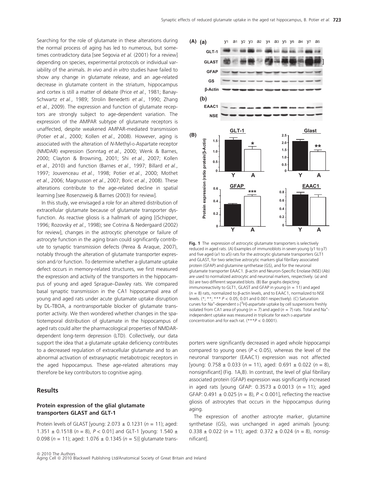Searching for the role of glutamate in these alterations during the normal process of aging has led to numerous, but sometimes contradictory data [see Segovia et al. (2001) for a review] depending on species, experimental protocols or individual variability of the animals. In vivo and in vitro studies have failed to show any change in glutamate release, and an age-related decrease in glutamate content in the striatum, hippocampus and cortex is still a matter of debate (Price et al., 1981; Banay-Schwartz et al., 1989; Strolin Benedetti et al., 1990; Zhang et al., 2009). The expression and function of glutamate receptors are strongly subject to age-dependent variation. The expression of the AMPAR subtype of glutamate receptors is unaffected, despite weakened AMPAR-mediated transmission (Potier et al., 2000; Kollen et al., 2008). However, aging is associated with the alteration of N-Methyl-D-Aspartate receptor (NMDAR) expression (Sonntag et al., 2000; Wenk & Barnes, 2000; Clayton & Browning, 2001; Shi et al., 2007; Kollen et al., 2010) and function (Barnes et al., 1997; Billard et al., 1997; Jouvenceau et al., 1998; Potier et al., 2000; Mothet et al., 2006; Magnusson et al., 2007; Boric et al., 2008). These alterations contribute to the age-related decline in spatial learning [see Rosenzweig & Barnes (2003) for review].

In this study, we envisaged a role for an altered distribution of extracellular glutamate because of glutamate transporter dysfunction. As reactive gliosis is a hallmark of aging [(Schipper, 1996; Rozovsky et al., 1998); see Cotrina & Nedergaard (2002) for review], changes in the astrocytic phenotype or failure of astrocyte function in the aging brain could significantly contribute to synaptic transmission defects (Perea & Araque, 2007), notably through the alteration of glutamate transporter expression and/or function. To determine whether a glutamate uptake defect occurs in memory-related structures, we first measured the expression and activity of the transporters in the hippocampus of young and aged Sprague–Dawley rats. We compared basal synaptic transmission in the CA1 hippocampal area of young and aged rats under acute glutamate uptake disruption by DL-TBOA, a nontransportable blocker of glutamate transporter activity. We then wondered whether changes in the spatiotemporal distribution of glutamate in the hippocampus of aged rats could alter the pharmacological properties of NMDARdependent long-term depression (LTD). Collectively, our data support the idea that a glutamate uptake deficiency contributes to a decreased regulation of extracellular glutamate and to an abnormal activation of extrasynaptic metabotropic receptors in the aged hippocampus. These age-related alterations may therefore be key contributors to cognitive aging.

# Results

# Protein expression of the glial glutamate transporters GLAST and GLT-1

Protein levels of GLAST [young:  $2.073 \pm 0.1231$  ( $n = 11$ ); aged: 1.351  $\pm$  0.1518 (n = 8), P < 0.01] and GLT-1 [young: 1.540  $\pm$ 0.098 ( $n = 11$ ); aged: 1.076  $\pm$  0.1345 ( $n = 5$ )] glutamate trans-



Fig. 1 The expression of astrocytic glutamate transporters is selectively reduced in aged rats. (A) Examples of immunoblots in seven young (y1 to y7) and five aged (a1 to a5) rats for the astrocytic glutamate transporters GLT1 and GLAST, for two selective astrocytic markers glial fibrillary associated protein (GFAP) and glutamine synthetase (GS), and for the neuronal glutamate transporter EAAC1. b-actin and Neuron-Specific Enolase (NSE) (Ab) are used to normalized astrocytic and neuronal markers, respectively. (a) and (b) are two different separated blots. (B) Bar graphs depicting immunoreactivity to GLT1, GLAST and GFAP in young ( $n = 11$ ) and aged ( $n = 8$ ) rats, normalized to  $\beta$ -actin levels, and to EAAC1, normalized to NSE levels. (\*; \*\*; \*\*\* P < 0.05; 0.01 and 0.001 respectively). (C) Saturation curves for Na<sup>+</sup>-dependent D-[<sup>3</sup>H]-aspartate uptake by cell suspensions freshly isolated from CA1 area of young ( $n = 7$ ) and aged ( $n = 7$ ) rats. Total and Na<sup>+</sup>independent uptake was measured in triplicate for each D-aspartate concentration and for each rat.  $(***P < 0.0001)$ .

porters were significantly decreased in aged whole hippocampi compared to young ones ( $P < 0.05$ ), whereas the level of the neuronal transporter (EAAC1) expression was not affected [young:  $0.758 \pm 0.033$  ( $n = 11$ ), aged:  $0.691 \pm 0.022$  ( $n = 8$ ), nonsignificant] (Fig. 1A,B). In contrast, the level of glial fibrillary associated protein (GFAP) expression was significantly increased in aged rats [young GFAP:  $0.3573 \pm 0.0013$  (n = 11); aged GFAP:  $0.491 \pm 0.025$  ( $n = 8$ ),  $P < 0.001$ ], reflecting the reactive gliosis of astrocytes that occurs in the hippocampus during aging.

The expression of another astrocyte marker, glutamine synthetase (GS), was unchanged in aged animals [young:  $0.338 \pm 0.022$  (n = 11); aged:  $0.372 \pm 0.024$  (n = 8), nonsignificant].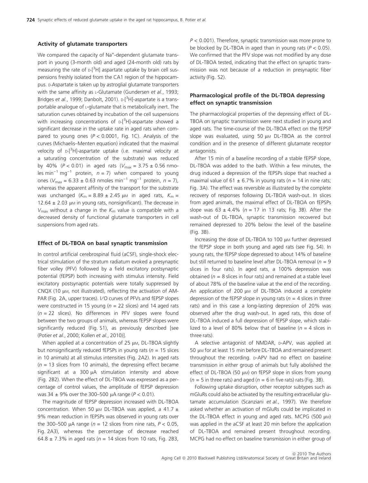### Activity of glutamate transporters

We compared the capacity of Na<sup>+</sup>-dependent glutamate transport in young (3-month old) and aged (24-month old) rats by measuring the rate of  $D$ -[<sup>3</sup>H] aspartate uptake by brain cell suspensions freshly isolated from the CA1 region of the hippocampus. D-Aspartate is taken up by astroglial glutamate transporters with the same affinity as  $L$ -Glutamate (Gundersen et al., 1993; Bridges et al., 1999; Danbolt, 2001). D-[<sup>3</sup>H]-aspartate is a transportable analogue of L-glutamate that is metabolically inert. The saturation curves obtained by incubation of the cell suspensions with increasing concentrations of <sub>D-</sub>[<sup>3</sup>H]-aspartate showed a significant decrease in the uptake rate in aged rats when compared to young ones  $(P < 0.0001$ , Fig. 1C). Analysis of the curves (Michaelis–Menten equation) indicated that the maximal velocity of <sub>D-</sub>[<sup>3</sup>H]-aspartate uptake (i.e. maximal velocity at a saturating concentration of the substrate) was reduced by 40% ( $P < 0.01$ ) in aged rats ( $V_{\text{max}} = 3.75 \pm 0.56$  nmoles min<sup>-1</sup> mg<sup>-1</sup> protein,  $n = 7$ ) when compared to young ones ( $V_{\text{max}} = 6.33 \pm 0.63$  nmoles min<sup>-1</sup> mg<sup>-1</sup> protein,  $n = 7$ ), whereas the apparent affinity of the transport for the substrate was unchanged ( $K_m = 8.89 \pm 2.45 \mu m$  in aged rats,  $K_m =$ 12.64  $\pm$  2.03 µm in young rats, nonsignificant). The decrease in  $V_{\text{max}}$  without a change in the  $K_{\text{m}}$  value is compatible with a decreased density of functional glutamate transporters in cell suspensions from aged rats.

#### Effect of DL-TBOA on basal synaptic transmission

In control artificial cerebrospinal fluid (aCSF), single-shock electrical stimulation of the stratum radiatum evoked a presynaptic fiber volley (PFV) followed by a field excitatory postsynaptic potential (fEPSP) both increasing with stimulus intensity. Field excitatory postsynaptic potentials were totally suppressed by  $C$ NQX (10  $\mu$ M, not illustrated), reflecting the activation of AM-PAR (Fig. 2A, upper traces). I/O curves of PFVs and fEPSP slopes were constructed in 15 young ( $n = 22$  slices) and 14 aged rats  $(n = 22$  slices). No differences in PFV slopes were found between the two groups of animals, whereas fEPSP slopes were significantly reduced (Fig. S1), as previously described [see (Potier et al., 2000; Kollen et al., 2010)].

When applied at a concentration of  $25 \mu$ M, DL-TBOA slightly but nonsignificantly reduced fEPSPs in young rats ( $n = 15$  slices in 10 animals) at all stimulus intensities (Fig. 2A2). In aged rats  $(n = 13$  slices from 10 animals), the depressing effect became significant at a 300  $\mu$ A stimulation intensity and above (Fig. 2B2). When the effect of DL-TBOA was expressed as a percentage of control values, the amplitude of fEPSP depression was 34  $\pm$  9% over the 300–500 µA range ( $P < 0.01$ ).

The magnitude of fEPSP depression increased with DL-TBOA concentration. When 50  $\mu$ M DL-TBOA was applied, a 41.7  $\pm$ 9% mean reduction in fEPSPs was observed in young rats over the 300–500  $\mu$ A range (n = 12 slices from nine rats, P < 0.05, Fig. 2A3), whereas the percentage of decrease reached 64.8  $\pm$  7.3% in aged rats ( $n = 14$  slices from 10 rats, Fig. 2B3,

 $P < 0.001$ ). Therefore, synaptic transmission was more prone to be blocked by DL-TBOA in aged than in young rats ( $P < 0.05$ ). We confirmed that the PFV slope was not modified by any dose of DL-TBOA tested, indicating that the effect on synaptic transmission was not because of a reduction in presynaptic fiber activity (Fig. S2).

# Pharmacological profile of the DL-TBOA depressing effect on synaptic transmission

The pharmacological properties of the depressing effect of DL-TBOA on synaptic transmission were next studied in young and aged rats. The time-course of the DL-TBOA effect on the fEPSP slope was evaluated, using 50  $\mu$ M DL-TBOA as the control condition and in the presence of different glutamate receptor antagonists.

After 15 min of a baseline recording of a stable fEPSP slope, DL-TBOA was added to the bath. Within a few minutes, the drug induced a depression of the fEPSPs slope that reached a maximal value of 61  $\pm$  6.7% in young rats ( $n = 14$  in nine rats; Fig. 3A). The effect was reversible as illustrated by the complete recovery of responses following DL-TBOA wash-out. In slices from aged animals, the maximal effect of DL-TBOA on fEPSPs slope was  $63 \pm 4.4\%$  ( $n = 17$  in 13 rats; Fig. 3B). After the wash-out of DL-TBOA, synaptic transmission recovered but remained depressed to 20% below the level of the baseline (Fig. 3B).

Increasing the dose of DL-TBOA to 100  $\mu$ M further depressed the fEPSP slope in both young and aged rats (see Fig. S4). In young rats, the fEPSP slope depressed to about 14% of baseline but still returned to baseline level after DL-TBOA removal ( $n = 9$ ) slices in four rats). In aged rats, a 100% depression was obtained ( $n = 8$  slices in four rats) and remained at a stable level of about 78% of the baseline value at the end of the recording. An application of 200  $\mu$ M of DL-TBOA induced a complete depression of the fEPSP slope in young rats ( $n = 4$  slices in three rats) and in this case a long-lasting depression of 20% was observed after the drug wash-out. In aged rats, this dose of DL-TBOA induced a full depression of fEPSP slope, which stabilized to a level of 80% below that of baseline ( $n = 4$  slices in three rats).

A selective antagonist of NMDAR, p-APV, was applied at 50 μm for at least 15 min before DL-TBOA and remained present throughout the recording. D-APV had no effect on baseline transmission in either group of animals but fully abolished the effect of DL-TBOA (50 µM) on fEPSP slope in slices from young  $(n = 5$  in three rats) and aged  $(n = 6$  in five rats) rats (Fig. 3B).

Following uptake disruption, other receptor subtypes such as mGluRs could also be activated by the resulting extracellular glutamate accumulation (Scanziani et al., 1997). We therefore asked whether an activation of mGluRs could be implicated in the DL-TBOA effect in young and aged rats. MCPG (500  $\mu$ M) was applied in the aCSF at least 20 min before the application of DL-TBOA and remained present throughout recording. MCPG had no effect on baseline transmission in either group of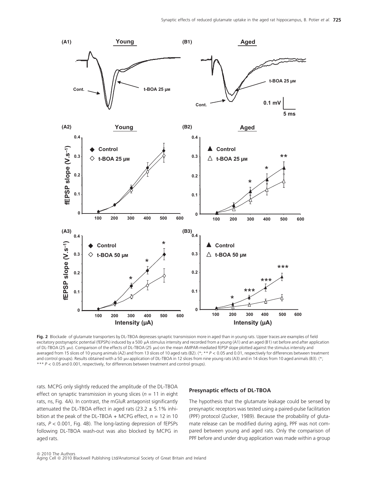

Fig. 2 Blockade of glutamate transporters by DL-TBOA depresses synaptic transmission more in aged than in young rats. Upper traces are examples of field excitatory postsynaptic potential (fEPSPs) induced by a 500 µA stimulus intensity and recorded from a young (A1) and an aged (B1) rat before and after application of DL-TBOA (25 µM). Comparison of the effects of DL-TBOA (25 µM) on the mean AMPAR-mediated fEPSP slope plotted against the stimulus intensity and averaged from 15 slices of 10 young animals (A2) and from 13 slices of 10 aged rats (B2). (\*; \*\* P < 0.05 and 0.01, respectively for differences between treatment and control groups). Results obtained with a 50 µm application of DL-TBOA in 12 slices from nine young rats (A3) and in 14 slices from 10 aged animals (B3). (\*; \*\*\*  $P < 0.05$  and 0.001, respectively, for differences between treatment and control groups).

rats. MCPG only slightly reduced the amplitude of the DL-TBOA effect on synaptic transmission in young slices ( $n = 11$  in eight rats, ns, Fig. 4A). In contrast, the mGluR antagonist significantly attenuated the DL-TBOA effect in aged rats (23.2  $\pm$  5.1% inhibition at the peak of the DL-TBOA + MCPG effect,  $n = 12$  in 10 rats, P < 0.001, Fig. 4B). The long-lasting depression of fEPSPs following DL-TBOA wash-out was also blocked by MCPG in aged rats.

#### Presynaptic effects of DL-TBOA

The hypothesis that the glutamate leakage could be sensed by presynaptic receptors was tested using a paired-pulse facilitation (PPF) protocol (Zucker, 1989). Because the probability of glutamate release can be modified during aging, PPF was not compared between young and aged rats. Only the comparison of PPF before and under drug application was made within a group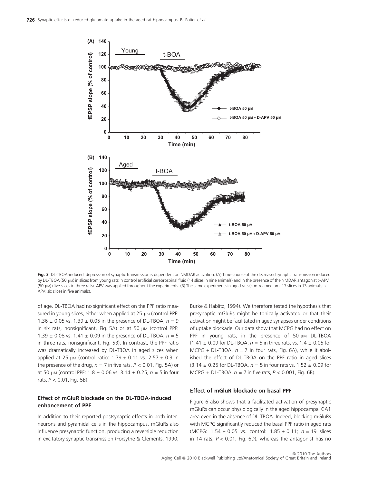

Fig. 3 DL-TBOA-induced depression of synaptic transmission is dependent on NMDAR activation. (A) Time-course of the decreased synaptic transmission induced by DL-TBOA (50 µM) in slices from young rats in control artificial cerebrospinal fluid (14 slices in nine animals) and in the presence of the NMDAR antagonist D-APV (50 lM) (five slices in three rats). APV was applied throughout the experiments. (B) The same experiments in aged rats (control medium: 17 slices in 13 animals; D-APV: six slices in five animals).

of age. DL-TBOA had no significant effect on the PPF ratio measured in young slices, either when applied at  $25 \mu$ M (control PPF: 1.36  $\pm$  0.05 vs. 1.39  $\pm$  0.05 in the presence of DL-TBOA,  $n = 9$ in six rats, nonsignificant, Fig. 5A) or at 50  $\mu$ M (control PPF: 1.39  $\pm$  0.08 vs. 1.41  $\pm$  0.09 in the presence of DL-TBOA,  $n = 5$ in three rats, nonsignificant, Fig. 5B). In contrast, the PPF ratio was dramatically increased by DL-TBOA in aged slices when applied at 25  $\mu$ M (control ratio: 1.79  $\pm$  0.11 vs. 2.57  $\pm$  0.3 in the presence of the drug,  $n = 7$  in five rats,  $P < 0.01$ , Fig. 5A) or at 50  $\mu$ M (control PPF: 1.8  $\pm$  0.06 vs. 3.14  $\pm$  0.25, n = 5 in four rats,  $P < 0.01$ , Fig. 5B).

# Effect of mGluR blockade on the DL-TBOA-induced enhancement of PPF

In addition to their reported postsynaptic effects in both interneurons and pyramidal cells in the hippocampus, mGluRs also influence presynaptic function, producing a reversible reduction in excitatory synaptic transmission (Forsythe & Clements, 1990;

Burke & Hablitz, 1994). We therefore tested the hypothesis that presynaptic mGluRs might be tonically activated or that their activation might be facilitated in aged synapses under conditions of uptake blockade. Our data show that MCPG had no effect on PPF in young rats, in the presence of 50  $\mu$ M DL-TBOA  $(1.41 \pm 0.09$  for DL-TBOA,  $n = 5$  in three rats, vs. 1.4  $\pm$  0.05 for MCPG + DL-TBOA,  $n = 7$  in four rats, Fig. 6A), while it abolished the effect of DL-TBOA on the PPF ratio in aged slices  $(3.14 \pm 0.25$  for DL-TBOA,  $n = 5$  in four rats vs. 1.52  $\pm$  0.09 for MCPG + DL-TBOA,  $n = 7$  in five rats,  $P < 0.001$ , Fig. 6B).

## Effect of mGluR blockade on basal PPF

Figure 6 also shows that a facilitated activation of presynaptic mGluRs can occur physiologically in the aged hippocampal CA1 area even in the absence of DL-TBOA. Indeed, blocking mGluRs with MCPG significantly reduced the basal PPF ratio in aged rats (MCPG:  $1.54 \pm 0.05$  vs. control:  $1.85 \pm 0.11$ ;  $n = 19$  slices in 14 rats;  $P < 0.01$ , Fig. 6D), whereas the antagonist has no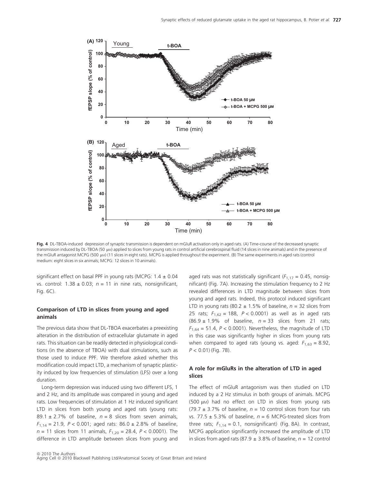

Fig. 4 DL-TBOA-induced depression of synaptic transmission is dependent on mGluR activation only in aged rats. (A) Time-course of the decreased synaptic transmission induced by DL-TBOA (50 µw) applied to slices from young rats in control artificial cerebrospinal fluid (14 slices in nine animals) and in the presence of the mGluR antagonist MCPG (500 µM) (11 slices in eight rats). MCPG is applied throughout the experiment. (B) The same experiments in aged rats (control medium: eight slices in six animals; MCPG: 12 slices in 10 animals).

significant effect on basal PPF in young rats (MCPG:  $1.4 \pm 0.04$ ) vs. control:  $1.38 \pm 0.03$ ;  $n = 11$  in nine rats, nonsignificant, Fig. 6C).

# Comparison of LTD in slices from young and aged animals

The previous data show that DL-TBOA exacerbates a preexisting alteration in the distribution of extracellular glutamate in aged rats. This situation can be readily detected in physiological conditions (in the absence of TBOA) with dual stimulations, such as those used to induce PPF. We therefore asked whether this modification could impact LTD, a mechanism of synaptic plasticity induced by low frequencies of stimulation (LFS) over a long duration.

Long-term depression was induced using two different LFS, 1 and 2 Hz, and its amplitude was compared in young and aged rats. Low frequencies of stimulation at 1 Hz induced significant LTD in slices from both young and aged rats (young rats: 89.1  $\pm$  2.7% of baseline,  $n = 8$  slices from seven animals,  $F_{1,14} = 21.9$ ,  $P < 0.001$ ; aged rats: 86.0 ± 2.8% of baseline,  $n = 11$  slices from 11 animals,  $F_{1,20} = 28.4$ ,  $P < 0.0001$ ). The difference in LTD amplitude between slices from young and aged rats was not statistically significant ( $F_{1,17} = 0.45$ , nonsignificant) (Fig. 7A). Increasing the stimulation frequency to 2 Hz revealed differences in LTD magnitude between slices from young and aged rats. Indeed, this protocol induced significant LTD in young rats (80.2  $\pm$  1.5% of baseline,  $n = 32$  slices from 25 rats;  $F_{1,62} = 188$ ,  $P < 0.0001$ ) as well as in aged rats  $(86.9 \pm 1.9\%$  of baseline,  $n = 33$  slices from 21 rats;  $F_{1,64} = 51.4$ ,  $P < 0.0001$ ). Nevertheless, the magnitude of LTD in this case was significantly higher in slices from young rats when compared to aged rats (young vs. aged:  $F_{1,63} = 8.92$ ,  $P < 0.01$ ) (Fig. 7B).

# A role for mGluRs in the alteration of LTD in aged slices

The effect of mGluR antagonism was then studied on LTD induced by a 2 Hz stimulus in both groups of animals. MCPG (500  $\mu$ M) had no effect on LTD in slices from young rats (79.7  $\pm$  3.7% of baseline,  $n = 10$  control slices from four rats vs. 77.5  $\pm$  5.3% of baseline,  $n = 6$  MCPG-treated slices from three rats;  $F_{1,14} = 0.1$ , nonsignificant) (Fig. 8A). In contrast, MCPG application significantly increased the amplitude of LTD in slices from aged rats (87.9  $\pm$  3.8% of baseline, n = 12 control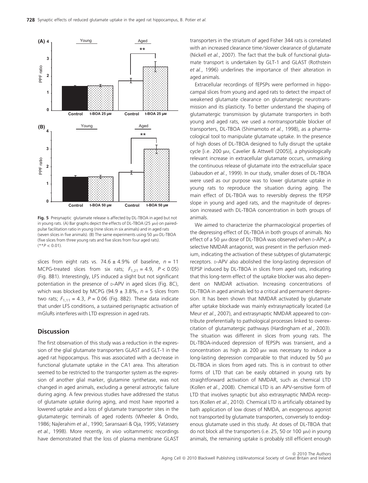

Fig. 5 Presynaptic glutamate release is affected by DL-TBOA in aged but not in young rats. (A) Bar graphs depict the effects of DL-TBOA (25  $\mu$ M) on pairedpulse facilitation ratio in young (nine slices in six animals) and in aged rats (seven slices in five animals). (B) The same experiments using 50  $\mu$ M DL-TBOA (five slices from three young rats and five slices from four aged rats).  $(**P < 0.01).$ 

slices from eight rats vs. 74.6  $\pm$  4.9% of baseline,  $n = 11$ MCPG-treated slices from six rats;  $F_{1,21} = 4.9$ ,  $P < 0.05$ ) (Fig. 8B1). Interestingly, LFS induced a slight but not significant potentiation in the presence of p-APV in aged slices (Fig. 8C), which was blocked by MCPG (94.9  $\pm$  3.8%, n = 5 slices from two rats;  $F_{1,11} = 4.3$ ,  $P = 0.06$  (Fig. 8B2). These data indicate that under LFS conditions, a sustained perisynaptic activation of mGluRs interferes with LTD expression in aged rats.

# **Discussion**

The first observation of this study was a reduction in the expression of the glial glutamate transporters GLAST and GLT-1 in the aged rat hippocampus. This was associated with a decrease in functional glutamate uptake in the CA1 area. This alteration seemed to be restricted to the transporter system as the expression of another glial marker, glutamine synthetase, was not changed in aged animals, excluding a general astrocytic failure during aging. A few previous studies have addressed the status of glutamate uptake during aging, and most have reported a lowered uptake and a loss of glutamate transporter sites in the glutamatergic terminals of aged rodents (Wheeler & Ondo, 1986; Najlerahim et al., 1990; Saransaari & Oja, 1995; Vatassery et al., 1998). More recently, in vivo voltammetric recordings have demonstrated that the loss of plasma membrane GLAST

transporters in the striatum of aged Fisher 344 rats is correlated with an increased clearance time/slower clearance of glutamate (Nickell et al., 2007). The fact that the bulk of functional glutamate transport is undertaken by GLT-1 and GLAST (Rothstein et al., 1996) underlines the importance of their alteration in aged animals.

Extracellular recordings of fEPSPs were performed in hippocampal slices from young and aged rats to detect the impact of weakened glutamate clearance on glutamatergic neurotransmission and its plasticity. To better understand the shaping of glutamatergic transmission by glutamate transporters in both young and aged rats, we used a nontransportable blocker of transporters, DL-TBOA (Shimamoto et al., 1998), as a pharmacological tool to manipulate glutamate uptake. In the presence of high doses of DL-TBOA designed to fully disrupt the uptake cycle [i.e. 200 µm, Cavelier & Attwell (2005)], a physiologically relevant increase in extracellular glutamate occurs, unmasking the continuous release of glutamate into the extracellular space (Jabaudon et al., 1999). In our study, smaller doses of DL-TBOA were used as our purpose was to lower glutamate uptake in young rats to reproduce the situation during aging. The main effect of DL-TBOA was to reversibly depress the fEPSP slope in young and aged rats, and the magnitude of depression increased with DL-TBOA concentration in both groups of animals.

We aimed to characterize the pharmacological properties of the depressing effect of DL-TBOA in both groups of animals. No effect of a 50 µm dose of DL-TBOA was observed when p-APV, a selective NMDAR antagonist, was present in the perfusion medium, indicating the activation of these subtypes of glutamatergic receptors. D-APV also abolished the long-lasting depression of fEPSP induced by DL-TBOA in slices from aged rats, indicating that this long-term effect of the uptake blocker was also dependent on NMDAR activation. Increasing concentrations of DL-TBOA in aged animals led to a critical and permanent depression. It has been shown that NMDAR activated by glutamate after uptake blockade was mainly extrasynaptically located (Le Meur et al., 2007), and extrasynaptic NMDAR appeared to contribute preferentially to pathological processes linked to overexcitation of glutamatergic pathways (Hardingham et al., 2003). The situation was different in slices from young rats. The DL-TBOA-induced depression of fEPSPs was transient, and a concentration as high as  $200 \mu$ M was necessary to induce a long-lasting depression comparable to that induced by 50  $\mu$ M DL-TBOA in slices from aged rats. This is in contrast to other forms of LTD that can be easily obtained in young rats by straightforward activation of NMDAR, such as chemical LTD (Kollen et al., 2008). Chemical LTD is an APV-sensitive form of LTD that involves synaptic but also extrasynaptic NMDA receptors (Kollen et al., 2010). Chemical LTD is artificially obtained by bath application of low doses of NMDA, an exogenous agonist not transported by glutamate transporters, conversely to endogenous glutamate used in this study. At doses of DL-TBOA that do not block all the transporters (i.e. 25, 50 or 100  $\mu$ M) in young animals, the remaining uptake is probably still efficient enough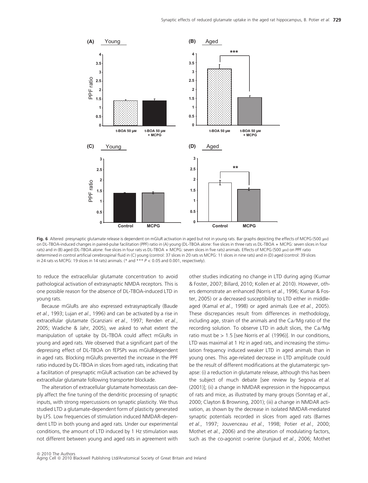

Fig. 6 Altered presynaptic glutamate release is dependent on mGluR activation in aged but not in young rats. Bar graphs depicting the effects of MCPG (500 µM) on DL-TBOA-induced changes in paired-pulse facilitation (PPF) ratio in (A) young (DL-TBOA alone: five slices in three rats vs DL-TBOA + MCPG: seven slices in four rats) and in (B) aged (DL-TBOA alone: five slices in four rats vs DL-TBOA + MCPG: seven slices in five rats) animals. Effects of MCPG (500 µM) on PPF ratio determined in control artificial cerebrospinal fluid in (C) young (control: 37 slices in 20 rats vs MCPG: 11 slices in nine rats) and in (D) aged (control: 39 slices in 24 rats vs MCPG: 19 slices in 14 rats) animals. (\* and \*\*\*  $P < 0.05$  and 0.001, respectively).

to reduce the extracellular glutamate concentration to avoid pathological activation of extrasynaptic NMDA receptors. This is one possible reason for the absence of DL-TBOA-induced LTD in young rats.

Because mGluRs are also expressed extrasynaptically (Baude et al., 1993; Lujan et al., 1996) and can be activated by a rise in extracellular glutamate (Scanziani et al., 1997; Renden et al., 2005; Wadiche & Jahr, 2005), we asked to what extent the manipulation of uptake by DL-TBOA could affect mGluRs in young and aged rats. We observed that a significant part of the depressing effect of DL-TBOA on fEPSPs was mGluRdependent in aged rats. Blocking mGluRs prevented the increase in the PPF ratio induced by DL-TBOA in slices from aged rats, indicating that a facilitation of presynaptic mGluR activation can be achieved by extracellular glutamate following transporter blockade.

The alteration of extracellular glutamate homeostasis can deeply affect the fine tuning of the dendritic processing of synaptic inputs, with strong repercussions on synaptic plasticity. We thus studied LTD a glutamate-dependent form of plasticity generated by LFS. Low frequencies of stimulation induced NMDAR-dependent LTD in both young and aged rats. Under our experimental conditions, the amount of LTD induced by 1 Hz stimulation was not different between young and aged rats in agreement with other studies indicating no change in LTD during aging (Kumar & Foster, 2007; Billard, 2010; Kollen et al. 2010). However, others demonstrate an enhanced (Norris et al., 1996; Kumar & Foster, 2005) or a decreased susceptibility to LTD either in middleaged (Kamal et al., 1998) or aged animals (Lee et al., 2005). These discrepancies result from differences in methodology, including age, strain of the animals and the Ca/Mg ratio of the recording solution. To observe LTD in adult slices, the Ca/Mg ratio must be > 1.5 [see Norris et al. (1996)]. In our conditions, LTD was maximal at 1 Hz in aged rats, and increasing the stimulation frequency induced weaker LTD in aged animals than in young ones. This age-related decrease in LTD amplitude could be the result of different modifications at the glutamatergic synapse: (i) a reduction in glutamate release, although this has been the subject of much debate [see review by Segovia et al. (2001)]; (ii) a change in NMDAR expression in the hippocampus of rats and mice, as illustrated by many groups (Sonntag et al., 2000; Clayton & Browning, 2001); (iii) a change in NMDAR activation, as shown by the decrease in isolated NMDAR-mediated synaptic potentials recorded in slices from aged rats (Barnes et al., 1997; Jouvenceau et al., 1998; Potier et al., 2000; Mothet et al., 2006) and the alteration of modulating factors, such as the co-agonist D-serine (Junjaud et al., 2006; Mothet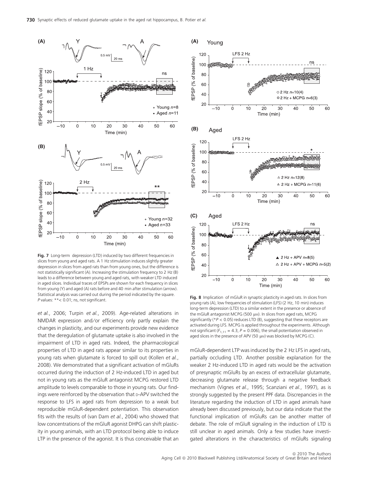

Fig. 7 Long-term depression (LTD) induced by two different frequencies in slices from young and aged rats. A 1 Hz stimulation induces slightly greater depression in slices from aged rats than from young ones, but the difference is not statistically significant (A). Increasing the stimulation frequency to 2 Hz (B) leads to a difference between young and aged rats, with weaker LTD induced in aged slices. Individual traces of EPSPs are shown for each frequency in slices from young (Y) and aged (A) rats before and 40 min after stimulation (arrow). Statistical analysis was carried out during the period indicated by the square. P values: \*\*< 0.01; ns, not significant.

et al., 2006; Turpin et al., 2009). Age-related alterations in NMDAR expression and/or efficiency only partly explain the changes in plasticity, and our experiments provide new evidence that the deregulation of glutamate uptake is also involved in the impairment of LTD in aged rats. Indeed, the pharmacological properties of LTD in aged rats appear similar to its properties in young rats when glutamate is forced to spill out (Kollen et al., 2008). We demonstrated that a significant activation of mGluRs occurred during the induction of 2 Hz-induced LTD in aged but not in young rats as the mGluR antagonist MCPG restored LTD amplitude to levels comparable to those in young rats. Our findings were reinforced by the observation that D-APV switched the response to LFS in aged rats from depression to a weak but reproducible mGluR-dependent potentiation. This observation fits with the results of (van Dam et al., 2004) who showed that low concentrations of the mGluR agonist DHPG can shift plasticity in young animals, with an LTD protocol being able to induce LTP in the presence of the agonist. It is thus conceivable that an



Fig. 8 Implication of mGluR in synaptic plasticity in aged rats. In slices from young rats (A), low frequencies of stimulation (LFS) (2 Hz, 10 min) induces long-term depression (LTD) to a similar extent in the presence or absence of the mGluR antagonist MCPG (500 μM). In slices from aged rats, MCPG significantly ( $*P < 0.05$ ) reduces LTD (B), suggesting that these receptors are activated during LFS. MCPG is applied throughout the experiments. Although not significant ( $F_{1,11} = 4.3$ ,  $P = 0.006$ ), the small potentiation observed in aged slices in the presence of APV (50  $\mu$ M) was blocked by MCPG (C).

mGluR-dependent LTP was induced by the 2 Hz LFS in aged rats, partially occluding LTD. Another possible explanation for the weaker 2 Hz-induced LTD in aged rats would be the activation of presynaptic mGluRs by an excess of extracellular glutamate, decreasing glutamate release through a negative feedback mechanism (Vignes et al., 1995; Scanziani et al., 1997), as is strongly suggested by the present PPF data. Discrepancies in the literature regarding the induction of LTD in aged animals have already been discussed previously, but our data indicate that the functional implication of mGluRs can be another matter of debate. The role of mGluR signaling in the induction of LTD is still unclear in aged animals. Only a few studies have investigated alterations in the characteristics of mGluRs signaling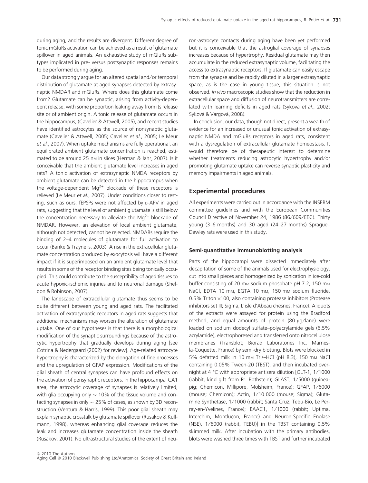during aging, and the results are divergent. Different degree of tonic mGluRs activation can be achieved as a result of glutamate spillover in aged animals. An exhaustive study of mGluRs subtypes implicated in pre- versus postsynaptic responses remains to be performed during aging.

Our data strongly argue for an altered spatial and ⁄ or temporal distribution of glutamate at aged synapses detected by extrasynaptic NMDAR and mGluRs. Where does this glutamate come from? Glutamate can be synaptic, arising from activity-dependent release, with some proportion leaking away from its release site or of ambient origin. A tonic release of glutamate occurs in the hippocampus, (Cavelier & Attwell, 2005), and recent studies have identified astrocytes as the source of nonsynaptic glutamate (Cavelier & Attwell, 2005; Cavelier et al., 2005; Le Meur et al., 2007). When uptake mechanisms are fully operational, an equilibrated ambient glutamate concentration is reached, estimated to be around 25 nm in slices (Herman & Jahr, 2007). Is it conceivable that the ambient glutamate level increases in aged rats? A tonic activation of extrasynaptic NMDA receptors by ambient glutamate can be detected in the hippocampus when the voltage-dependent  $Mg^{2+}$  blockade of these receptors is relieved (Le Meur et al., 2007). Under conditions closer to resting, such as ours, fEPSPs were not affected by D-APV in aged rats, suggesting that the level of ambient glutamate is still below the concentration necessary to alleviate the  $Mq^{2+}$  blockade of NMDAR. However, an elevation of local ambient glutamate, although not detected, cannot be rejected. NMDARs require the binding of 2–4 molecules of glutamate for full activation to occur (Banke & Traynelis, 2003). A rise in the extracellular glutamate concentration produced by exocytosis will have a different impact if it is superimposed on an ambient glutamate level that results in some of the receptor binding sites being tonically occupied. This could contribute to the susceptibility of aged tissues to acute hypoxic-ischemic injuries and to neuronal damage (Sheldon & Robinson, 2007).

The landscape of extracellular glutamate thus seems to be quite different between young and aged rats. The facilitated activation of extrasynaptic receptors in aged rats suggests that additional mechanisms may worsen the alteration of glutamate uptake. One of our hypotheses is that there is a morphological modification of the synaptic surroundings because of the astrocytic hypertrophy that gradually develops during aging [see Cotrina & Nedergaard (2002) for review]. Age-related astrocyte hypertrophy is characterized by the elongation of fine processes and the upregulation of GFAP expression. Modifications of the glial sheath of central synapses can have profound effects on the activation of perisynaptic receptors. In the hippocampal CA1 area, the astrocytic coverage of synapses is relatively limited, with glia occupying only  $\sim$  10% of the tissue volume and contacting synapses in only  $\sim$  25% of cases, as shown by 3D reconstruction (Ventura & Harris, 1999). This poor glial sheath may explain synaptic crosstalk by glutamate spillover (Rusakov & Kullmann, 1998), whereas enhancing glial coverage reduces the leak and increases glutamate concentration inside the sheath (Rusakov, 2001). No ultrastructural studies of the extent of neuron-astrocyte contacts during aging have been yet performed but it is conceivable that the astroglial coverage of synapses increases because of hypertrophy. Residual glutamate may then accumulate in the reduced extrasynaptic volume, facilitating the access to extrasynaptic receptors. If glutamate can easily escape from the synapse and be rapidly diluted in a larger extrasynaptic space, as is the case in young tissue, this situation is not observed. In vivo macroscopic studies show that the reduction in extracellular space and diffusion of neurotransmitters are correlated with learning deficits in aged rats (Sykova et al., 2002; Syková & Vargová, 2008).

In conclusion, our data, though not direct, present a wealth of evidence for an increased or unusual tonic activation of extrasynaptic NMDA and mGluRs receptors in aged rats, consistent with a dysregulation of extracellular glutamate homeostasis. It would therefore be of therapeutic interest to determine whether treatments reducing astrocytic hypertrophy and/or promoting glutamate uptake can reverse synaptic plasticity and memory impairments in aged animals.

#### Experimental procedures

All experiments were carried out in accordance with the INSERM committee guidelines and with the European Communities Council Directive of November 24, 1986 (86/609/EEC). Thirty young (3–6 months) and 30 aged (24–27 months) Sprague– Dawley rats were used in this study.

#### Semi-quantitative immunoblotting analysis

Parts of the hippocampi were dissected immediately after decapitation of some of the animals used for electrophysiology, cut into small pieces and homogenized by sonication in ice-cold buffer consisting of 20 mm sodium phosphate pH 7.2, 150 mm NaCl, EDTA 10 mm, EGTA 10 mm, 150 mm sodium fluoride, 0.5% Triton ×100, also containing protease inhibitors (Protease inhibitors set III; Sigma, L'isle d'Abeau chesnes, France). Aliquots of the extracts were assayed for protein using the Bradford method, and equal amounts of protein  $(80 \mu g / \text{lane})$  were loaded on sodium dodecyl sulfate–polyacrylamide gels (6.5% acrylamide), electrophoresed and transferred onto nitrocellulose membranes (Transblot; Biorad Laboratories Inc, Marnesla-Coquette, France) by semi-dry blotting. Blots were blocked in 5% defatted milk in 10 mm Tris-HCl (pH 8.3), 150 mm NaCl containing 0.05% Tween-20 (TBST), and then incubated overnight at 4  $\degree$ C with appropriate antisera dilution [GLT-1, 1/1000 (rabbit, kind gift from Pr. Rothstein); GLAST, 1 ⁄ 5000 (guineapig; Chemicon, Millipore, Molsheim, France); GFAP, 1/6000 (mouse; Chemicon); Actin, 1 ⁄ 10 000 (mouse; Sigma); Glutamine Synthetase, 1/1000 (rabbit; Santa Cruz, Tebu-Bio, Le Perray-en-Yvelines, France); EAAC1, 1/1000 (rabbit; Uptima, Interchim, Montlucon, France) and Neuron-Specific Enolase (NSE), 1/6000 (rabbit, TEBU)] in the TBST containing 0.5% skimmed milk. After incubation with the primary antibodies, blots were washed three times with TBST and further incubated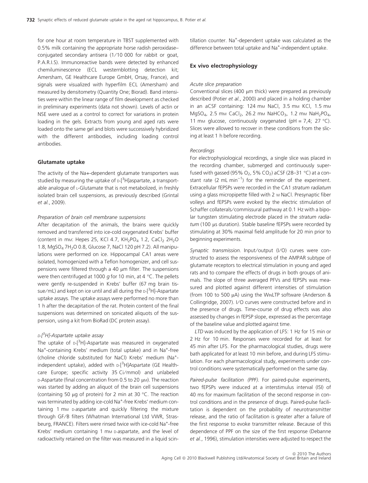for one hour at room temperature in TBST supplemented with 0.5% milk containing the appropriate horse radish peroxidase– conjugated secondary antisera (1/10 000 for rabbit or goat, P.A.R.I.S). Immunoreactive bands were detected by enhanced chemiluminescence (ECL westernblotting detection kit; Amersham, GE Healthcare Europe GmbH, Orsay, France), and signals were visualized with hyperfilm ECL (Amersham) and measured by densitometry (Quantity One; Biorad). Band intensities were within the linear range of film development as checked in preliminary experiments (data not shown). Levels of actin or NSE were used as a control to correct for variations in protein loading in the gels. Extracts from young and aged rats were loaded onto the same gel and blots were successively hybridized with the different antibodies, including loading control antibodies.

#### Glutamate uptake

The activity of the Na+-dependent glutamate transporters was studied by measuring the uptake of p-[<sup>3</sup>H]aspartate, a transportable analogue of L-Glutamate that is not metabolized, in freshly isolated brain cell suspensions, as previously described (Grintal et al., 2009).

#### Preparation of brain cell membrane suspensions

After decapitation of the animals, the brains were quickly removed and transferred into ice-cold oxygenated Krebs' buffer (content in mm: Hepes 25, KCl 4.7,  $KH_2PO_4$  1.2, CaCl<sub>2</sub> 2H<sub>2</sub>O 1.8, MgSO<sub>4</sub> 7H<sub>2</sub>O 0.8, Glucose 7, NaCl 120 pH 7.2). All manipulations were performed on ice. Hippocampal CA1 areas were isolated, homogenized with a Teflon homogenizer, and cell suspensions were filtered through a 40  $\mu$ m filter. The suspensions were then centrifuged at 1000  $g$  for 10 min, at 4 °C. The pellets were gently re-suspended in Krebs' buffer (67 mg brain tissue/mL) and kept on ice until and all during the <sub>D-</sub>[<sup>3</sup>H]-Aspartate uptake assays. The uptake assays were performed no more than 1 h after the decapitation of the rat. Protein content of the final suspensions was determined on sonicated aliquots of the suspension, using a kit from BioRad (DC protein assay).

### <sub>D-[</sub>3H]-Aspartate uptake assay

The uptake of <sub>D-</sub>[<sup>3</sup>H]-Aspartate was measured in oxygenated Na<sup>+</sup>-containing Krebs' medium (total uptake) and in Na<sup>+</sup>-free (choline chloride substituted for NaCl) Krebs' medium (Na+ independent uptake), added with D-[<sup>3</sup>H]Aspartate (GE Healthcare Europe; specific activity 35 Ci/mmol) and unlabeled  $D$ -Aspartate (final concentration from 0.5 to 20  $\mu$ M). The reaction was started by adding an aliquot of the brain cell suspensions (containing 50  $\mu$ g of protein) for 2 min at 30 °C. The reaction was terminated by adding ice-cold Na<sup>+</sup>-free Krebs' medium containing 1 mm D-aspartate and quickly filtering the mixture through GF/B filters (Whatman International Ltd VWR, Strasbeurg, FRANCE). Filters were rinsed twice with ice-cold Na<sup>+</sup>-free Krebs' medium containing 1 mm p-aspartate, and the level of radioactivity retained on the filter was measured in a liquid scintillation counter. Na<sup>+</sup>-dependent uptake was calculated as the difference between total uptake and Na<sup>+</sup>-independent uptake.

#### Ex vivo electrophysiology

#### Acute slice preparation

Conventional slices (400  $\mu$ m thick) were prepared as previously described (Potier et al., 2000) and placed in a holding chamber in an aCSF containing: 124 mm NaCl, 3.5 mm KCl, 1.5 mm MgSO<sub>4</sub>, 2.5 mm CaCl<sub>2</sub>, 26.2 mm NaHCO<sub>3</sub>, 1.2 mm NaH<sub>2</sub>PO<sub>4</sub>, 11 mm glucose, continuously oxygenated (pH = 7,4; 27 °C). Slices were allowed to recover in these conditions from the slicing at least 1 h before recording.

#### **Recordings**

For electrophysiological recordings, a single slice was placed in the recording chamber, submerged and continuously superfused with gassed (95%  $O_2$ , 5% CO<sub>2</sub>) aCSF (28–31 °C) at a constant rate (2 mL min<sup>-1</sup>) for the reminder of the experiment. Extracellular fEPSPs were recorded in the CA1 stratum radiatum using a glass micropipette filled with 2 M NaCl. Presynaptic fiber volleys and fEPSPs were evoked by the electric stimulation of Schaffer collaterals⁄ commissural pathway at 0.1 Hz with a bipolar tungsten stimulating electrode placed in the stratum radiatum (100 µs duration). Stable baseline fEPSPs were recorded by stimulating at 30% maximal field amplitude for 20 min prior to beginning experiments.

Synaptic transmission. Input/output (I/O) curves were constructed to assess the responsiveness of the AMPAR subtype of glutamate receptors to electrical stimulation in young and aged rats and to compare the effects of drugs in both groups of animals. The slope of three averaged PFVs and fEPSPs was measured and plotted against different intensities of stimulation (from 100 to 500  $\mu$ A) using the WINLTP software (Anderson & Collingridge, 2007). I/O curves were constructed before and in the presence of drugs. Time-course of drug effects was also assessed by changes in fEPSP slope, expressed as the percentage of the baseline value and plotted against time.

LTD was induced by the application of LFS: 1 Hz for 15 min or 2 Hz for 10 min. Responses were recorded for at least for 45 min after LFS. For the pharmacological studies, drugs were bath applicated for at least 10 min before, and during LFS stimulation. For each pharmacological study, experiments under control conditions were systematically performed on the same day.

Paired-pulse facilitation (PPF). For paired-pulse experiments, two fEPSPs were induced at a interstimulus interval (ISI) of 40 ms for maximum facilitation of the second response in control conditions and in the presence of drugs. Paired-pulse facilitation is dependent on the probability of neurotransmitter release, and the ratio of facilitation is greater after a failure of the first response to evoke transmitter release. Because of this dependence of PPF on the size of the first response (Debanne et al., 1996), stimulation intensities were adjusted to respect the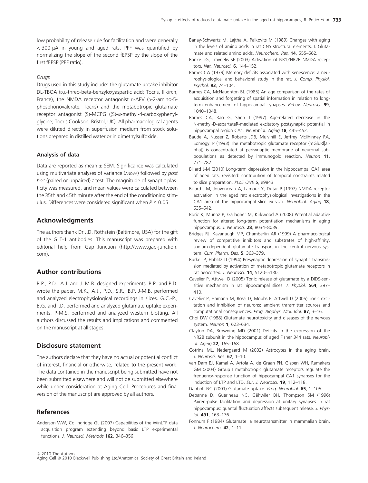low probability of release rule for facilitation and were generally  $<$  300  $\mu$ A in young and aged rats. PPF was quantified by normalizing the slope of the second fEPSP by the slope of the first fEPSP (PPF ratio).

#### Drugs

Drugs used in this study include: the glutamate uptake inhibitor DL-TBOA (D,L-threo-beta-benzyloxyaspartic acid; Tocris, Illkirch, France), the NMDA receptor antagonist p-APV (p-2-amino-5phosphonovalerate; Tocris) and the metabotropic glutamate receptor antagonist (S)-MCPG ((S)-a-methyl-4-carboxyphenylglycine; Tocris Cookson, Bristol, UK). All pharmacological agents were diluted directly in superfusion medium from stock solutions prepared in distilled water or in dimethylsulfoxide.

#### Analysis of data

Data are reported as mean  $\pm$  SEM. Significance was calculated using multivariate analyses of variance (ANOVA) followed by post hoc (paired or unpaired)  $t$  test. The magnitude of synaptic plasticity was measured, and mean values were calculated between the 35th and 45th minute after the end of the conditioning stimulus. Differences were considered significant when  $P \le 0.05$ .

# Acknowledgments

The authors thank Dr J.D. Rothstein (Baltimore, USA) for the gift of the GLT-1 antibodies. This manuscript was prepared with editorial help from Gap Junction (http://www.gap-junction. com).

# Author contributions

B.P., P.D., A.J. and J.-M.B. designed experiments. B.P. and P.D. wrote the paper. M.K., A.J., P.D., S.R., B.P. J-M.B. performed and analyzed electrophysiological recordings in slices. G.C.-P., B.G. and I.D. performed and analyzed glutamate uptake experiments. P-M.S. performed and analyzed western blotting. All authors discussed the results and implications and commented on the manuscript at all stages.

### Disclosure statement

The authors declare that they have no actual or potential conflict of interest, financial or otherwise, related to the present work. The data contained in the manuscript being submitted have not been submitted elsewhere and will not be submitted elsewhere while under consideration at Aging Cell. Procedures and final version of the manuscript are approved by all authors.

# References

Anderson WW, Collingridge GL (2007) Capabilities of the WinLTP data acquisition program extending beyond basic LTP experimental functions. J. Neurosci. Methods 162, 346–356.

- Banay-Schwartz M, Lajtha A, Palkovits M (1989) Changes with aging in the levels of amino acids in rat CNS structural elements. I. Glutamate and related amino acids. Neurochem. Res. 14, 555–562.
- Banke TG, Traynelis SF (2003) Activation of NR1/NR2B NMDA receptors. Nat. Neurosci. **6**, 144-152.
- Barnes CA (1979) Memory deficits associated with senescence: a neurophysiological and behavioral study in the rat. J. Comp. Physiol. Psychol. 93, 74–104.
- Barnes CA, McNaughton BL (1985) An age comparison of the rates of acquisition and forgetting of spatial information in relation to longterm enhancement of hippocampal synapses. Behav. Neurosci. 99, 1040–1048.
- Barnes CA, Rao G, Shen J (1997) Age-related decrease in the N-methyl-D-aspartateR-mediated excitatory postsynaptic potential in hippocampal region CA1. Neurobiol. Aging 18, 445-452.
- Baude A, Nusser Z, Roberts JDB, Mulvihill E, Jeffrey Mcllhinney RA, Somogyi P (1993) The metabotropic glutamate receptor (mGluRl[alpha]) is concentrated at perisynaptic membrane of neuronal subpopulations as detected by immunogold reaction. Neuron 11, 771–787.
- Billard J-M (2010) Long-term depression in the hippocampal CA1 area of aged rats, revisited: contribution of temporal constraints related to slice preparation. PLoS ONE 5, e9843.
- Billard J-M, Jouvenceau A, Lamour Y, Dutar P (1997) NMDA receptor activation in the aged rat: electrophysiological investigations in the CA1 area of the hippocampal slice ex vivo. Neurobiol. Aging 18, 535–542.
- Boric K, Munoz P, Gallagher M, Kirkwood A (2008) Potential adaptive function for altered long-term potentiation mechanisms in aging hippocampus. J. Neurosci. 28, 8034–8039.
- Bridges RJ, Kavanaugh MP, Chamberlin AR (1999) A pharmacological review of competitive inhibitors and substrates of high-affinity, sodium-dependent glutamate transport in the central nervous system. Curr. Pharm. Des. 5, 363–379.
- Burke JP, Hablitz JJ (1994) Presynaptic depression of synaptic transmission mediated by activation of metabotropic glutamate receptors in rat neocortex. J. Neurosci. 14, 5120-5130.
- Cavelier P, Attwell D (2005) Tonic release of glutamate by a DIDS-sensitive mechanism in rat hippocampal slices. J. Physiol. 564, 397-410.
- Cavelier P, Hamann M, Rossi D, Mobbs P, Attwell D (2005) Tonic excitation and inhibition of neurons: ambient transmitter sources and computational consequences. Prog. Biophys. Mol. Biol. 87, 3–16.
- Choi DW (1988) Glutamate neurotoxicity and diseases of the nervous system. Neuron 1, 623-634.
- Clayton DA, Browning MD (2001) Deficits in the expression of the NR2B subunit in the hippocampus of aged Fisher 344 rats. Neurobiol. Aging 22, 165–168.
- Cotrina ML, Nedergaard M (2002) Astrocytes in the aging brain. J. Neurosci. Res. 67, 1–10.
- van Dam EJ, Kamal A, Artola A, de Graan PN, Gispen WH, Ramakers GM (2004) Group I metabotropic glutamate receptors regulate the frequency-response function of hippocampal CA1 synapses for the induction of LTP and LTD. Eur. J. Neurosci. 19, 112-118.
- Danbolt NC (2001) Glutamate uptake. Prog. Neurobiol. 65, 1–105.
- Debanne D, Guérineau NC, Gähwiler BH, Thompson SM (1996) Paired-pulse facilitation and depression at unitary synapses in rat hippocampus: quantal fluctuation affects subsequent release. J. Physiol. 491, 163–176.
- Fonnum F (1984) Glutamate: a neurotransmitter in mammalian brain. J. Neurochem. 42, 1–11.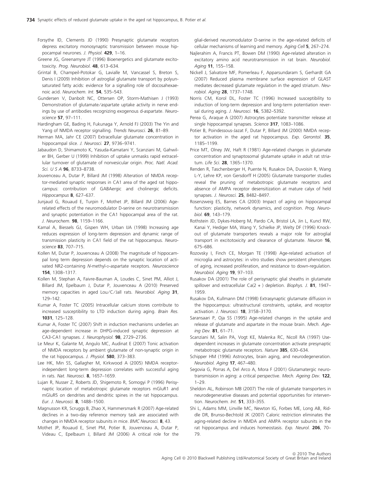- Forsythe ID, Clements JD (1990) Presynaptic glutamate receptors depress excitatory monosynaptic transmission between mouse hippocampal neurones. J. Physiol. 429, 1–16.
- Greene JG, Greenamyre JT (1996) Bioenergetics and glutamate excitotoxicity. Prog. Neurobiol. 48, 613–634.
- Grintal B, Champeil-Potokar G, Lavialle M, Vancassel S, Breton S, Denis I (2009) Inhibition of astroglial glutamate transport by polyunsaturated fatty acids: evidence for a signalling role of docosahexaenoic acid. Neurochem. Int. 54, 535–543.
- Gundersen V, Danbolt NC, Ottersen OP, Storm-Mathisen J (1993) Demonstration of glutamate/aspartate uptake activity in nerve endings by use of antibodies recognizing exogenous d-aspartate. Neuroscience 57, 97–111.
- Hardingham GE, Bading H, Fukunaga Y, Arnold FJ (2003) The Yin and Yang of NMDA receptor signalling. Trends Neurosci. 26, 81–89.
- Herman MA, Jahr CE (2007) Extracellular glutamate concentration in hippocampal slice. J. Neurosci. **27**, 9736-9741.
- Jabaudon D, Shimamoto K, Yasuda-Kamatani Y, Scanziani M, Gahwiler BH, Gerber U (1999) Inhibition of uptake unmasks rapid extracellular turnover of glutamate of nonvesicular origin. Proc. Natl. Acad. Sci. U S A 96, 8733–8738.
- Jouvenceau A, Dutar P, Billard JM (1998) Alteration of NMDA receptor-mediated synaptic responses in CA1 area of the aged rat hippocampus: contribution of GABAergic and cholinergic deficits. Hippocampus 8, 627–637.
- Junjaud G, Rouaud E, Turpin F, Mothet JP, Billard JM (2006) Agerelated effects of the neuromodulator D-serine on neurotransmission and synaptic potentiation in the CA1 hippocampal area of the rat. J. Neurochem. 98, 1159–1166.
- Kamal A, Biessels GJ, Gispen WH, Urban IJA (1998) Increasing age reduces expression of long-term depression and dynamic range of transmission plasticity in CA1 field of the rat hippocampus. Neuroscience 83, 707–715.
- Kollen M, Dutar P, Jouvenceau A (2008) The magnitude of hippocampal long term depression depends on the synaptic location of activated NR2-containing N-methyl-D-aspartate receptors. Neuroscience 154, 1308–1317.
- Kollen M, Stephan A, Faivre-Bauman A, Loudes C, Sinet PM, Alliot J, Billard JM, Epelbaum J, Dutar P, Jouvenceau A (2010) Preserved memory capacities in aged Lou/C/Jall rats. Neurobiol. Aging 31, 129–142.
- Kumar A, Foster TC (2005) Intracellular calcium stores contribute to increased susceptibility to LTD induction during aging. Brain Res. 1031, 125–128.
- Kumar A, Foster TC (2007) Shift in induction mechanisms underlies an age-dependent increase in DHPG-induced synaptic depression at CA3-CA1 synapses. J. Neurophysiol. 98, 2729–2736.
- Le Meur K, Galante M, Angulo MC, Audinat E (2007) Tonic activation of NMDA receptors by ambient glutamate of non-synaptic origin in the rat hippocampus. J. Physiol. 580, 373-383.
- Lee HK, Min SS, Gallagher M, Kirkwood A (2005) NMDA receptorindependent long-term depression correlates with successful aging in rats. Nat. Neurosci. 8, 1657–1659.
- Lujan R, Nusser Z, Roberts JD, Shigemoto R, Somogyi P (1996) Perisynaptic location of metabotropic glutamate receptors mGluR1 and mGluR5 on dendrites and dendritic spines in the rat hippocampus. Eur. J. Neurosci. 8, 1488–1500.
- Magnusson KR, Scruggs B, Zhao X, Hammersmark R (2007) Age-related declines in a two-day reference memory task are associated with changes in NMDA receptor subunits in mice. BMC Neurosci. 8, 43.
- Mothet JP, Rouaud E, Sinet PM, Potier B, Jouvenceau A, Dutar P, Videau C, Epelbaum J, Billard JM (2006) A critical role for the

glial-derived neuromodulator D-serine in the age-related deficits of cellular mechanisms of learning and memory. Aging Cell 5, 267–274.

- Najlerahim A, Francis PT, Bowen DM (1990) Age-related alteration in excitatory amino acid neurotransmission in rat brain. Neurobiol. Aging 11, 155-158.
- Nickell J, Salvatore MF, Pomerleau F, Apparsundaram S, Gerhardt GA (2007) Reduced plasma membrane surface expression of GLAST mediates decreased glutamate regulation in the aged striatum. Neurobiol. Aging 28, 1737–1748.
- Norris CM, Korol DL, Foster TC (1996) Increased susceptibility to induction of long-term depression and long-term potentiation reversal during aging. J. Neurosci. **16**, 5382-5392.
- Perea G, Araque A (2007) Astrocytes potentiate transmitter release at single hippocampal synapses. Science 317, 1083-1086.
- Potier B, Poindessous-Jazat F, Dutar P, Billard JM (2000) NMDA receptor activation in the aged rat hippocampus. Exp. Gerontol. 35, 1185–1199.
- Price MT, Olney JW, Haft R (1981) Age-related changes in glutamate concentration and synaptosomal glutamate uptake in adult rat striatum. Life Sci. 28, 1365–1370.
- Renden R, Taschenberger H, Puente N, Rusakov DA, Duvoisin R, Wang L-Y, Lehre KP, von Gersdorff H (2005) Glutamate transporter studies reveal the pruning of metabotropic glutamate receptors and absence of AMPA receptor desensitization at mature calyx of held synapses. J. Neurosci. 25, 8482-8497.
- Rosenzweig ES, Barnes CA (2003) Impact of aging on hippocampal function: plasticity, network dynamics, and cognition. Prog. Neurobiol. 69, 143–179.
- Rothstein JD, Dykes-Hoberg M, Pardo CA, Bristol LA, Jin L, Kuncl RW, Kanai Y, Hediger MA, Wang Y, Schielke JP, Welty DF (1996) Knockout of glutamate transporters reveals a major role for astroglial transport in excitotoxicity and clearance of glutamate. Neuron 16, 675–686.
- Rozovsky I, Finch CE, Morgan TE (1998) Age-related activation of microglia and astrocytes: in vitro studies show persistent phenotypes of aging, increased proliferation, and resistance to down-regulation. Neurobiol. Aging 19, 97-103.
- Rusakov DA (2001) The role of perisynaptic glial sheaths in glutamate spillover and extracellular  $Ca(2 + )$  depletion. Biophys. J. 81, 1947– 1959.
- Rusakov DA, Kullmann DM (1998) Extrasynaptic glutamate diffusion in the hippocampus: ultrastructural constraints, uptake, and receptor activation. J. Neurosci. 18, 3158-3170.
- Saransaari P, Oja SS (1995) Age-related changes in the uptake and release of glutamate and aspartate in the mouse brain. Mech. Ageing Dev. 81, 61–71.
- Scanziani M, Salin PA, Vogt KE, Malenka RC, Nicoll RA (1997) Usedependent increases in glutamate concentration activate presynaptic metabotropic glutamate receptors. Nature 385, 630–634.
- Schipper HM (1996) Astrocytes, brain aging, and neurodegeneration. Neurobiol. Aging 17, 467–480.
- Segovia G, Porras A, Del Arco A, Mora F (2001) Glutamatergic neurotransmission in aging: a critical perspective. Mech. Ageing Dev. 122, 1–29.
- Sheldon AL, Robinson MB (2007) The role of glutamate transporters in neurodegenerative diseases and potential opportunities for intervention. Neurochem. Int. 51, 333–355.
- Shi L, Adams MM, Linville MC, Newton IG, Forbes ME, Long AB, Riddle DR, Brunso-Bechtold JK (2007) Caloric restriction eliminates the aging-related decline in NMDA and AMPA receptor subunits in the rat hippocampus and induces homeostasis. Exp. Neurol. 206, 70-79.